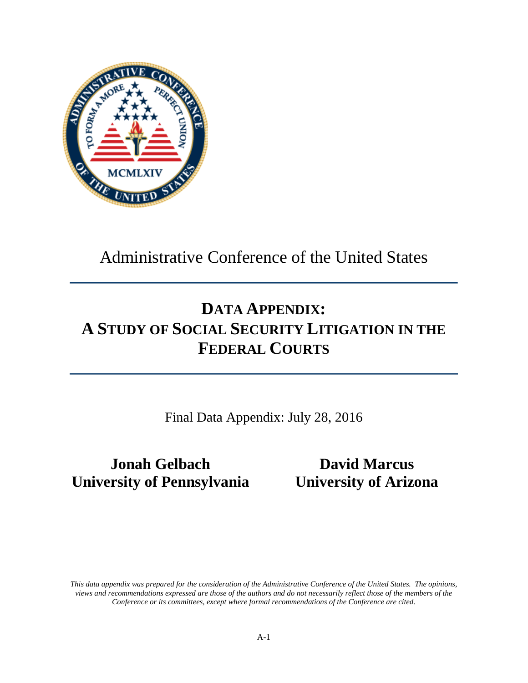

Administrative Conference of the United States

# **DATA APPENDIX: A STUDY OF SOCIAL SECURITY LITIGATION IN THE FEDERAL COURTS**

Final Data Appendix: July 28, 2016

# **Jonah Gelbach David Marcus University of Pennsylvania University of Arizona**

*This data appendix was prepared for the consideration of the Administrative Conference of the United States. The opinions, views and recommendations expressed are those of the authors and do not necessarily reflect those of the members of the Conference or its committees, except where formal recommendations of the Conference are cited.*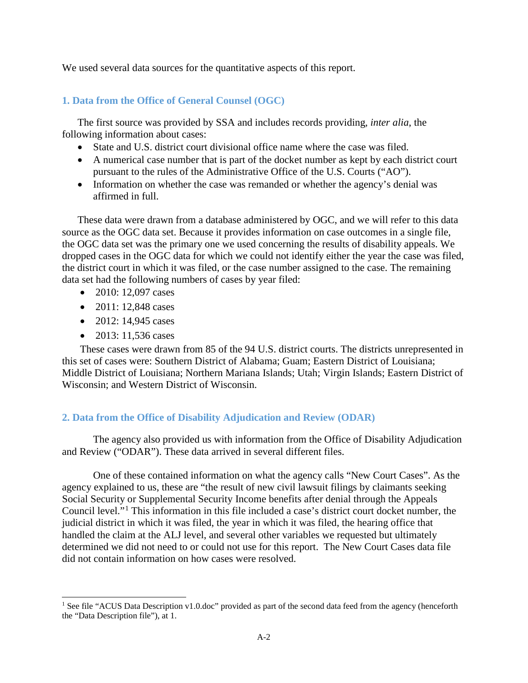We used several data sources for the quantitative aspects of this report.

### **1. Data from the Office of General Counsel (OGC)**

The first source was provided by SSA and includes records providing, *inter alia*, the following information about cases:

- State and U.S. district court divisional office name where the case was filed.
- A numerical case number that is part of the docket number as kept by each district court pursuant to the rules of the Administrative Office of the U.S. Courts ("AO").
- Information on whether the case was remanded or whether the agency's denial was affirmed in full.

These data were drawn from a database administered by OGC, and we will refer to this data source as the OGC data set. Because it provides information on case outcomes in a single file, the OGC data set was the primary one we used concerning the results of disability appeals. We dropped cases in the OGC data for which we could not identify either the year the case was filed, the district court in which it was filed, or the case number assigned to the case. The remaining data set had the following numbers of cases by year filed:

- 2010: 12,097 cases
- 2011: 12,848 cases
- 2012: 14,945 cases
- 2013: 11,536 cases

 $\overline{a}$ 

These cases were drawn from 85 of the 94 U.S. district courts. The districts unrepresented in this set of cases were: Southern District of Alabama; Guam; Eastern District of Louisiana; Middle District of Louisiana; Northern Mariana Islands; Utah; Virgin Islands; Eastern District of Wisconsin; and Western District of Wisconsin.

## **2. Data from the Office of Disability Adjudication and Review (ODAR)**

The agency also provided us with information from the Office of Disability Adjudication and Review ("ODAR"). These data arrived in several different files.

One of these contained information on what the agency calls "New Court Cases". As the agency explained to us, these are "the result of new civil lawsuit filings by claimants seeking Social Security or Supplemental Security Income benefits after denial through the Appeals Council level."[1](#page-1-0) This information in this file included a case's district court docket number, the judicial district in which it was filed, the year in which it was filed, the hearing office that handled the claim at the ALJ level, and several other variables we requested but ultimately determined we did not need to or could not use for this report. The New Court Cases data file did not contain information on how cases were resolved.

<span id="page-1-0"></span><sup>&</sup>lt;sup>1</sup> See file "ACUS Data Description v1.0.doc" provided as part of the second data feed from the agency (henceforth the "Data Description file"), at 1.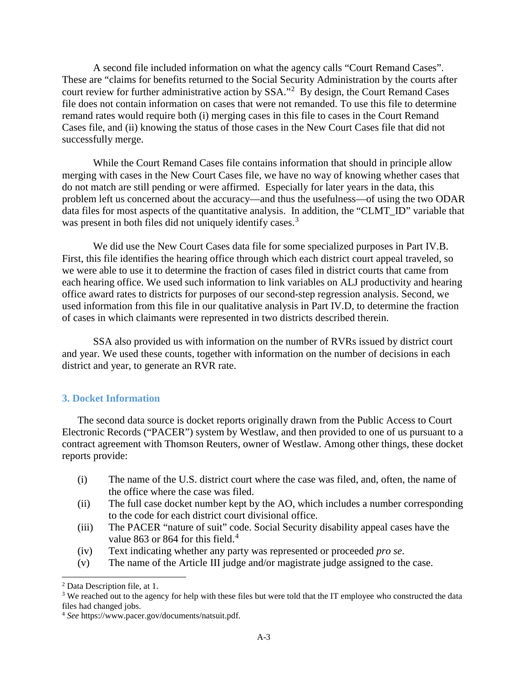A second file included information on what the agency calls "Court Remand Cases". These are "claims for benefits returned to the Social Security Administration by the courts after court review for further administrative action by SSA."<sup>[2](#page-2-0)</sup> By design, the Court Remand Cases file does not contain information on cases that were not remanded. To use this file to determine remand rates would require both (i) merging cases in this file to cases in the Court Remand Cases file, and (ii) knowing the status of those cases in the New Court Cases file that did not successfully merge.

While the Court Remand Cases file contains information that should in principle allow merging with cases in the New Court Cases file, we have no way of knowing whether cases that do not match are still pending or were affirmed. Especially for later years in the data, this problem left us concerned about the accuracy—and thus the usefulness—of using the two ODAR data files for most aspects of the quantitative analysis. In addition, the "CLMT\_ID" variable that was present in both files did not uniquely identify cases.<sup>[3](#page-2-1)</sup>

We did use the New Court Cases data file for some specialized purposes in Part IV.B. First, this file identifies the hearing office through which each district court appeal traveled, so we were able to use it to determine the fraction of cases filed in district courts that came from each hearing office. We used such information to link variables on ALJ productivity and hearing office award rates to districts for purposes of our second-step regression analysis. Second, we used information from this file in our qualitative analysis in Part IV.D, to determine the fraction of cases in which claimants were represented in two districts described therein.

SSA also provided us with information on the number of RVRs issued by district court and year. We used these counts, together with information on the number of decisions in each district and year, to generate an RVR rate.

#### **3. Docket Information**

The second data source is docket reports originally drawn from the Public Access to Court Electronic Records ("PACER") system by Westlaw, and then provided to one of us pursuant to a contract agreement with Thomson Reuters, owner of Westlaw. Among other things, these docket reports provide:

- (i) The name of the U.S. district court where the case was filed, and, often, the name of the office where the case was filed.
- (ii) The full case docket number kept by the AO, which includes a number corresponding to the code for each district court divisional office.
- (iii) The PACER "nature of suit" code. Social Security disability appeal cases have the value 863 or 86[4](#page-2-2) for this field.<sup>4</sup>
- (iv) Text indicating whether any party was represented or proceeded *pro se*.
- (v) The name of the Article III judge and/or magistrate judge assigned to the case.

 $\overline{a}$ 

<span id="page-2-0"></span><sup>2</sup> Data Description file, at 1.

<span id="page-2-1"></span><sup>&</sup>lt;sup>3</sup> We reached out to the agency for help with these files but were told that the IT employee who constructed the data files had changed jobs.

<span id="page-2-2"></span><sup>4</sup> *See* https://www.pacer.gov/documents/natsuit.pdf.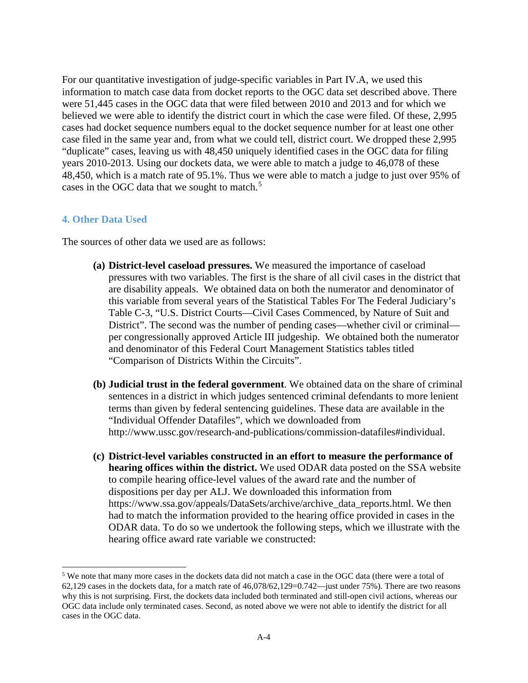For our quantitative investigation of judge-specific variables in Part IV.A, we used this information to match case data from docket reports to the OGC data set described above. There were 51,445 cases in the OGC data that were filed between 2010 and 2013 and for which we believed we were able to identify the district court in which the case were filed. Of these, 2,995 cases had docket sequence numbers equal to the docket sequence number for at least one other case filed in the same year and, from what we could tell, district court. We dropped these 2,995 "duplicate" cases, leaving us with 48,450 uniquely identified cases in the OGC data for filing years 2010-2013. Using our dockets data, we were able to match a judge to 46,078 of these 48,450, which is a match rate of 95.1%. Thus we were able to match a judge to just over 95% of cases in the OGC data that we sought to match.<sup>[5](#page-3-0)</sup>

#### **4. Other Data Used**

 $\overline{a}$ 

The sources of other data we used are as follows:

- **(a) District-level caseload pressures.** We measured the importance of caseload pressures with two variables. The first is the share of all civil cases in the district that are disability appeals. We obtained data on both the numerator and denominator of this variable from several years of the Statistical Tables For The Federal Judiciary's Table C-3, "U.S. District Courts—Civil Cases Commenced, by Nature of Suit and District". The second was the number of pending cases—whether civil or criminal per congressionally approved Article III judgeship. We obtained both the numerator and denominator of this Federal Court Management Statistics tables titled "Comparison of Districts Within the Circuits".
- **(b) Judicial trust in the federal government**. We obtained data on the share of criminal sentences in a district in which judges sentenced criminal defendants to more lenient terms than given by federal sentencing guidelines. These data are available in the "Individual Offender Datafiles", which we downloaded from http://www.ussc.gov/research-and-publications/commission-datafiles#individual.
- **(c) District-level variables constructed in an effort to measure the performance of hearing offices within the district.** We used ODAR data posted on the SSA website to compile hearing office-level values of the award rate and the number of dispositions per day per ALJ. We downloaded this information from [https://www.ssa.gov/appeals/DataSets/archive/archive\\_data\\_reports.html.](https://www.ssa.gov/appeals/DataSets/archive/archive_data_reports.html) We then had to match the information provided to the hearing office provided in cases in the ODAR data. To do so we undertook the following steps, which we illustrate with the hearing office award rate variable we constructed:

<span id="page-3-0"></span><sup>&</sup>lt;sup>5</sup> We note that many more cases in the dockets data did not match a case in the OGC data (there were a total of 62,129 cases in the dockets data, for a match rate of  $46,078/62,129=0.742$ —just under 75%). There are two reasons why this is not surprising. First, the dockets data included both terminated and still-open civil actions, whereas our OGC data include only terminated cases. Second, as noted above we were not able to identify the district for all cases in the OGC data.